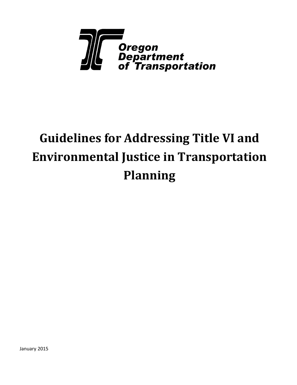

# **Guidelines for Addressing Title VI and Environmental Justice in Transportation Planning**

January 2015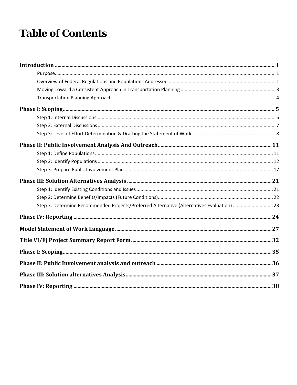## **Table of Contents**

| Step 3: Determine Recommended Projects/Preferred Alternative (Alternatives Evaluation) 23 |  |
|-------------------------------------------------------------------------------------------|--|
|                                                                                           |  |
|                                                                                           |  |
|                                                                                           |  |
|                                                                                           |  |
|                                                                                           |  |
|                                                                                           |  |
|                                                                                           |  |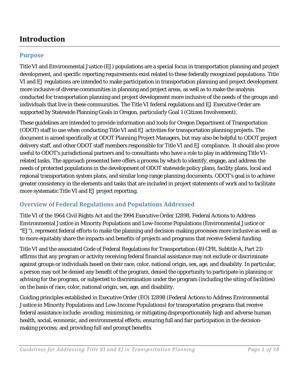## <span id="page-2-0"></span>**Introduction**

### <span id="page-2-1"></span>**Purpose**

Title VI and Environmental Justice (EJ) populations are a special focus in transportation planning and project development, and specific reporting requirements exist related to these federally recognized populations. Title VI and EJ regulations are intended to make participation in transportation planning and project development more inclusive of diverse communities in planning and project areas, as well as to make the analysis conducted for transportation planning and project development more inclusive of the needs of the groups and individuals that live in these communities. The Title VI federal regulations and EJ Executive Order are supported by Statewide Planning Goals in Oregon, particularly Goal 1 (Citizen Involvement).

These guidelines are intended to provide information and tools for Oregon Department of Transportation (ODOT) staff to use when conducting Title VI and EJ activities for transportation planning projects. The document is aimed specifically at ODOT Planning Project Managers, but may also be helpful to ODOT project delivery staff, and other ODOT staff members responsible for Title VI and EJ compliance. It should also prove useful to ODOT's jurisdictional partners and to consultants who have a role to play in addressing Title VIrelated tasks. The approach presented here offers a process by which to identify, engage, and address the needs of protected populations in the development of ODOT statewide policy plans, facility plans, local and regional transportation system plans, and similar long-range planning documents. ODOT's goal is to achieve greater consistency in the elements and tasks that are included in project statements of work and to facilitate more systematic Title VI and EJ project reporting.

### <span id="page-2-2"></span>**Overview of Federal Regulations and Populations Addressed**

Title VI of the 1964 Civil Rights Act and the 1994 Executive Order 12898, Federal Actions to Address Environmental Justice in Minority Populations and Low-Income Populations (Environmental Justice or "EJ"), represent federal efforts to make the planning and decision-making processes more inclusive as well as to more equitably share the impacts and benefits of projects and programs that receive federal funding.

Title VI and the associated Code of Federal Regulations for Transportation (49 CFR, Subtitle A, Part 21) affirms that any program or activity receiving federal financial assistance may not exclude or discriminate against groups or individuals based on their race, color, national origin, sex, age, and disability. In particular, a person may not be denied any benefit of the program, denied the opportunity to participate in planning or advising for the program, or subjected to discrimination under the program (including the siting of facilities) on the basis of race, color, national origin, sex, age, and disability.

Guiding principles established in Executive Order (EO) 12898 (Federal Actions to Address Environmental Justice in Minority Populations and Low-Income Populations) for transportation programs that receive federal assistance include: avoiding, minimizing, or mitigating disproportionately high and adverse human health, social, economic, and environmental effects; ensuring full and fair participation in the decisionmaking process; and providing full and prompt benefits.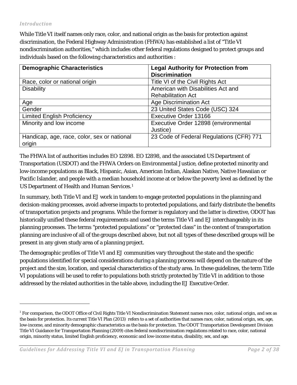#### *Introduction*

1

While Title VI itself names only race, color, and national origin as the basis for protection against discrimination, the Federal Highway Administration (FHWA) has established a list of "Title VI nondiscrimination authorities," which includes other federal regulations designed to protect groups and individuals based on the following characteristics and authorities :

| <b>Demographic Characteristics</b>          | <b>Legal Authority for Protection from</b><br><b>Discrimination</b> |
|---------------------------------------------|---------------------------------------------------------------------|
| Race, color or national origin              | Title VI of the Civil Rights Act                                    |
| <b>Disability</b>                           | American with Disabilities Act and                                  |
|                                             | <b>Rehabilitation Act</b>                                           |
| Age                                         | <b>Age Discrimination Act</b>                                       |
| Gender                                      | 23 United States Code (USC) 324                                     |
| <b>Limited English Proficiency</b>          | <b>Executive Order 13166</b>                                        |
| Minority and low income                     | Executive Order 12898 (environmental                                |
|                                             | Justice)                                                            |
| Handicap, age, race, color, sex or national | 23 Code of Federal Regulations (CFR) 771                            |
| origin                                      |                                                                     |

The FHWA list of authorities includes EO 12898. EO 12898, and the associated US Department of Transportation (USDOT) and the FHWA Orders on Environmental Justice, define protected minority and low-income populations as Black, Hispanic, Asian, American Indian, Alaskan Native, Native Hawaiian or Pacific Islander, and people with a median household income at or below the poverty level as defined by the US Department of Health and Human Services.<sup>[1](#page-3-0)</sup>

In summary, both Title VI and EJ work in tandem to engage protected populations in the planning and decision-making processes, avoid adverse impacts to protected populations, and fairly distribute the benefits of transportation projects and programs. While the former is regulatory and the latter is directive, ODOT has historically unified these federal requirements and used the terms Title VI and EJ interchangeably in its planning processes. The terms "protected populations" or "protected class" in the context of transportation planning are inclusive of all of the groups described above, but not all types of these described groups will be present in any given study area of a planning project.

The demographic profiles of Title VI and EJ communities vary throughout the state and the specific populations identified for special considerations during a planning process will depend on the nature of the project and the size, location, and special characteristics of the study area. In these guidelines, the term Title VI populations will be used to refer to populations both strictly protected by Title VI in addition to those addressed by the related authorities in the table above, including the EJ Executive Order.

<span id="page-3-0"></span> $1$  For comparison, the ODOT Office of Civil Rights Title VI Nondiscrimination Statement names race, color, national origin, and sex as the basis for protection. Its current Title VI Plan (2013) refers to a set of authorities that names race, color, national origin, sex, age, low-income, and minority demographic characteristics as the basis for protection. The ODOT Transportation Development Division Title VI Guidance for Transportation Planning (2009) cites federal nondiscrimination regulations related to race, color, national origin, minority status, limited English proficiency, economic and low-income status, disability, sex, and age.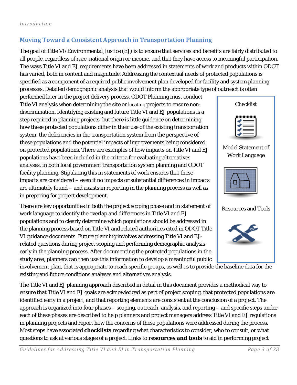## <span id="page-4-0"></span>**Moving Toward a Consistent Approach in Transportation Planning**

The goal of Title VI/Environmental Justice (EJ) is to ensure that services and benefits are fairly distributed to all people, regardless of race, national origin or income, and that they have access to meaningful participation. The ways Title VI and EJ requirements have been addressed in statements of work and products within ODOT has varied, both in content and magnitude. Addressing the contextual needs of protected populations is specified as a component of a required public involvement plan developed for facility and system planning processes. Detailed demographic analysis that would inform the appropriate type of outreach is often

performed later in the project delivery process. ODOT Planning must conduct Title VI analysis when determining the site or locating projects to ensure nondiscrimination. Identifying existing and future Title VI and EJ populations is a step required in planning projects, but there is little guidance on determining how these protected populations differ in their use of the existing transportation system, the deficiencies in the transportation system from the perspective of these populations and the potential impacts of improvements being considered on protected populations. There are examples of how impacts on Title VI and EJ populations have been included in the criteria for evaluating alternatives analyses, in both local government transportation system planning and ODOT facility planning. Stipulating this in statements of work ensures that these impacts are considered – even if no impacts or substantial differences in impacts are ultimately found – and assists in reporting in the planning process as well as in preparing for project development.

There are key opportunities in both the project scoping phase and in statement of work language to identify the overlap and differences in Title VI and EJ populations and to clearly determine which populations should be addressed in the planning process based on Title VI and related authorities cited in ODOT Title VI guidance documents. Future planning involves addressing Title VI and EJrelated questions during project scoping and performing demographic analysis early in the planning process. After documenting the protected populations in the study area, planners can then use this information to develop a meaningful public



The Title VI and EJ planning approach described in detail in this document provides a methodical way to ensure that Title VI and EJ goals are acknowledged as part of project scoping, that protected populations are identified early in a project, and that reporting elements are consistent at the conclusion of a project. The approach is organized into four phases – scoping, outreach, analysis, and reporting – and specific steps under each of these phases are described to help planners and project managers address Title VI and EJ regulations in planning projects and report how the concerns of these populations were addressed during the process. Most steps have associated **checklists** regarding what characteristics to consider, who to consult, or what questions to ask at various stages of a project. Links to **resources and tools** to aid in performing project

*Guidelines for Addressing Title VI and EJ in Transportation Planning Page 3 of 38*





Resources and Tools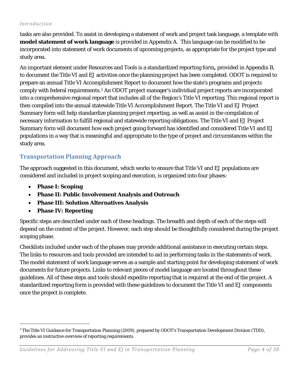#### *Introduction*

tasks are also provided. To assist in developing a statement of work and project task language, a template with **model statement of work language** is provided in Appendix A. This language can be modified to be incorporated into statement of work documents of upcoming projects, as appropriate for the project type and study area.

An important element under Resources and Tools is a standardized reporting form**,** provided in Appendix B, to document the Title VI and EJ activities once the planning project has been completed. ODOT is required to prepare an annual Title VI Accomplishment Report to document how the state's programs and projects comply with federal requirements.[2](#page-5-1) An ODOT project manager's individual project reports are incorporated into a comprehensive regional report that includes all of the Region's Title VI reporting. This regional report is then compiled into the annual statewide Title VI Accomplishment Report. The Title VI and EJ Project Summary form will help standardize planning project reporting, as well as assist in the compilation of necessary information to fulfill regional and statewide reporting obligations. The Title VI and EJ Project Summary form will document how each project going forward has identified and considered Title VI and EJ populations in a way that is meaningful and appropriate to the type of project and circumstances within the study area.

### <span id="page-5-0"></span>**Transportation Planning Approach**

The approach suggested in this document, which works to ensure that Title VI and EJ populations are considered and included in project scoping and execution, is organized into four phases:

• **Phase I: Scoping** 

1

- **Phase II: Public Involvement Analysis and Outreach**
- **Phase III: Solution Alternatives Analysis**
- **Phase IV: Reporting**

Specific steps are described under each of these headings. The breadth and depth of each of the steps will depend on the context of the project. However, each step should be thoughtfully considered during the project scoping phase.

Checklists included under each of the phases may provide additional assistance in executing certain steps. The links to resources and tools provided are intended to aid in performing tasks in the statements of work. The model statement of work language serves as a sample and starting point for developing statement of work documents for future projects. Links to relevant pieces of model language are located throughout these guidelines. All of these steps and tools should expedite reporting that is required at the end of the project. A standardized reporting form is provided with these guidelines to document the Title VI and EJ components once the project is complete.

<span id="page-5-1"></span> $2$  The Title VI Guidance for Transportation Planning (2009), prepared by ODOT's Transportation Development Division (TDD), provides an instructive overview of reporting requirements.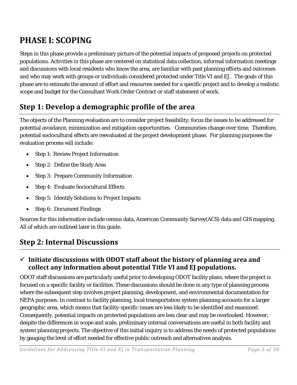## <span id="page-6-0"></span>**PHASE I: SCOPING**

Steps in this phase provide a preliminary picture of the potential impacts of proposed projects on protected populations. Activities in this phase are centered on statistical data collection, informal information meetings and discussions with local residents who know the area, are familiar with past planning efforts and outcomes and who may work with groups or individuals considered protected under Title VI and EJ. The goals of this phase are to estimate the amount of effort and resources needed for a specific project and to develop a realistic scope and budget for the Consultant Work Order Contract or staff statement of work.

## **Step 1: Develop a demographic profile of the area**

The objects of the Planning evaluation are to consider project feasibility; focus the issues to be addressed for potential avoidance, minimization and mitigation opportunities. Communities change over time. Therefore, potential sociocultural effects are reevaluated at the project development phase. For planning purposes the evaluation process will include:

- Step 1: Review Project Information
- Step 2: Define the Study Area
- Step 3: Prepare Community Information
- Step 4: Evaluate Sociocultural Effects
- Step 5: Identify Solutions to Project Impacts
- Step 6: Document Findings

Sources for this information include census data, American Community Survey(ACS) data and GIS mapping. All of which are outlined later in this guide.

## <span id="page-6-1"></span>**Step 2: Internal Discussions**

## **Initiate discussions with ODOT staff about the history of planning area and collect any information about potential Title VI and EJ populations.**

ODOT staff discussions are particularly useful prior to developing ODOT facility plans, where the project is focused on a specific facility or facilities. These discussions should be done in any type of planning process where the subsequent step involves project planning, development, and environmental documentation for NEPA purposes. In contrast to facility planning, local transportation system planning accounts for a larger geographic area, which means that facility-specific issues are less likely to be identified and examined. Consequently, potential impacts on protected populations are less clear and may be overlooked. However, despite the differences in scope and scale, preliminary internal conversations are useful in both facility and system planning projects. The objective of this initial inquiry is to address the needs of protected populations by gauging the level of effort needed for effective public outreach and alternatives analysis.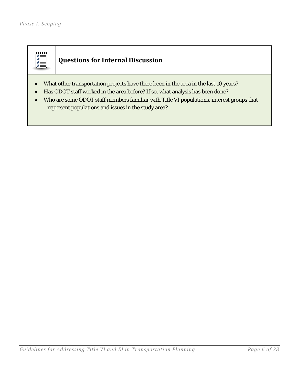

## **Questions for Internal Discussion**

- What other transportation projects have there been in the area in the last 10 years?
- Has ODOT staff worked in the area before? If so, what analysis has been done?
- Who are some ODOT staff members familiar with Title VI populations, interest groups that represent populations and issues in the study area?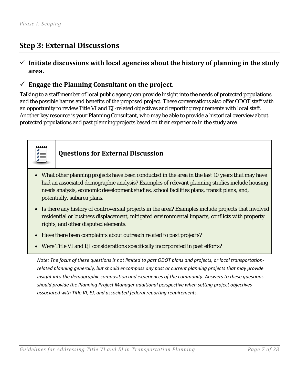## <span id="page-8-0"></span>**Step 3: External Discussions**

### $\checkmark$  Initiate discussions with local agencies about the history of planning in the study **area.**

### **Engage the Planning Consultant on the project.**

Talking to a staff member of local public agency can provide insight into the needs of protected populations and the possible harms and benefits of the proposed project. These conversations also offer ODOT staff with an opportunity to review Title VI and EJ-related objectives and reporting requirements with local staff. Another key resource is your Planning Consultant, who may be able to provide a historical overview about protected populations and past planning projects based on their experience in the study area.



## **Questions for External Discussion**

- What other planning projects have been conducted in the area in the last 10 years that may have had an associated demographic analysis? Examples of relevant planning studies include housing needs analysis, economic development studies, school facilities plans, transit plans, and, potentially, subarea plans.
- Is there any history of controversial projects in the area? Examples include projects that involved residential or business displacement, mitigated environmental impacts, conflicts with property rights, and other disputed elements.
- Have there been complaints about outreach related to past projects?
- Were Title VI and EJ considerations specifically incorporated in past efforts?

*Note: The focus of these questions is not limited to past ODOT plans and projects, or local transportationrelated planning generally, but should encompass any past or current planning projects that may provide insight into the demographic composition and experiences of the community. Answers to these questions should provide the Planning Project Manager additional perspective when setting project objectives associated with Title VI, EJ, and associated federal reporting requirements.*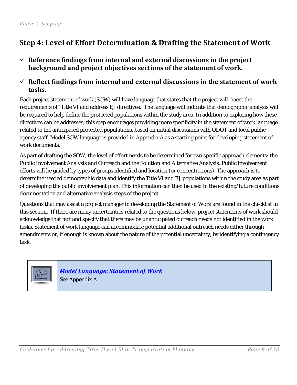## <span id="page-9-0"></span>**Step 4: Level of Effort Determination & Drafting the Statement of Work**

### $\checkmark$  Reference findings from internal and external discussions in the project **background and project objectives sections of the statement of work.**

### **Reflect findings from internal and external discussions in the statement of work tasks.**

Each project statement of work (SOW) will have language that states that the project will "meet the requirements of" Title VI and address EJ directives. The language will indicate that demographic analysis will be required to help define the protected populations within the study area. In addition to exploring how these directives can be addresses, this step encourages providing more specificity in the statement of work language related to the anticipated protected populations, based on initial discussions with ODOT and local public agency staff. Model SOW language is provided in Appendix A as a starting point for developing statement of work documents.

As part of drafting the SOW, the level of effort needs to be determined for two specific approach elements: the Public Involvement Analysis and Outreach and the Solution and Alternative Analysis. Public involvement efforts will be guided by types of groups identified and location (or concentrations). The approach is to determine needed demographic data and identify the Title VI and EJ populations within the study area as part of developing the public involvement plan. This information can then be used in the existing/future conditions documentation and alternative analysis steps of the project.

Questions that may assist a project manager in developing the Statement of Work are found in the checklist in this section. If there are many uncertainties related to the questions below, project statements of work should acknowledge that fact and specify that there may be unanticipated outreach needs not identified in the work tasks. Statement of work language can accommodate potential additional outreach needs either through amendments or, if enough is known about the nature of the potential uncertainty, by identifying a contingency task.



*Model Language: [Statement of Work](#page-28-1)* See Appendix A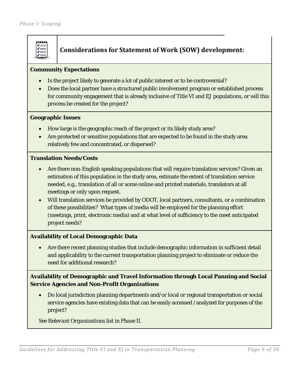

### **Considerations for Statement of Work (SOW) development:**

#### **Community Expectations**

- Is the project likely to generate a lot of public interest or to be controversial?
- Does the local partner have a structured public involvement program or established process for community engagement that is already inclusive of Title VI and EJ populations, or will this process be created for the project?

#### **Geographic Issues**

- How large is the geographic reach of the project or its likely study area?
- Are protected or sensitive populations that are expected to be found in the study area relatively few and concentrated, or dispersed?

#### **Translation Needs/Costs**

- Are there non-English speaking populations that will require translation services? Given an estimation of this population in the study area, estimate the extent of translation service needed, e.g., translation of all or some online and printed materials, translators at all meetings or only upon request.
- Will translation services be provided by ODOT, local partners, consultants, or a combination of these possibilities? What types of media will be employed for the planning effort (meetings, print, electronic media) and at what level of sufficiency to the meet anticipated project needs?

#### **Availability of Local Demographic Data**

• Are there recent planning studies that include demographic information in sufficient detail and applicability to the current transportation planning project to eliminate or reduce the need for additional research?

#### **Availability of Demographic and Travel Information through Local Panning and Social Service Agencies and Non-Profit Organizations**

• Do local jurisdiction planning departments and/or local or regional transportation or social service agencies have existing data that can be easily accessed /analyzed for purposes of the project?

*See Relevant Organizations list in Phase II.*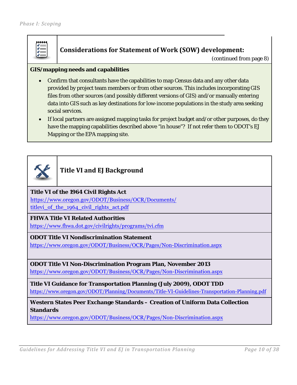

#### **Considerations for Statement of Work (SOW) development:**

(continued from page 8)

#### **GIS/mapping needs and capabilities**

- Confirm that consultants have the capabilities to map Census data and any other data provided by project team members or from other sources. This includes incorporating GIS files from other sources (and possibly different versions of GIS) and/or manually entering data into GIS such as key destinations for low-income populations in the study area seeking social services.
- If local partners are assigned mapping tasks for project budget and/or other purposes, do they have the mapping capabilities described above "in house"? If not refer them to ODOT's EJ Mapping or the EPA mapping site.



### **Title VI and EJ Background**

**Title VI of the 1964 Civil Rights Act**  https://www.oregon.gov/ODOT/Business/OCR/Documents/ titlevi of the 1964 civil rights act.pdf

#### **FHWA Title VI Related Authorities**

https://www.fhwa.dot.gov/civilrights/programs/tvi.cfm

**ODOT Title VI Nondiscrimination Statement** 

https://www.oregon.gov/ODOT/Business/OCR/Pages/Non-Discrimination.aspx

#### **ODOT Title VI Non-Discrimination Program Plan, November 2013**

https://www.oregon.gov/ODOT/Business/OCR/Pages/Non-Discrimination.aspx

**Title VI Guidance for Transportation Planning (July 2009), ODOT TDD**  https://www.oregon.gov/ODOT/Planning/Documents/Title-VI-Guidelines-Transportation-Planning.pdf

**Western States Peer Exchange Standards – Creation of Uniform Data Collection Standards** 

https://www.oregon.gov/ODOT/Business/OCR/Pages/Non-Discrimination.aspx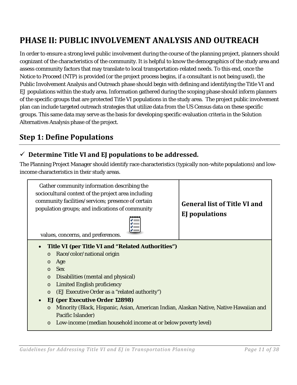## <span id="page-12-0"></span>**PHASE II: PUBLIC INVOLVEMENT ANALYSIS AND OUTREACH**

In order to ensure a strong level public involvement during the course of the planning project, planners should cognizant of the characteristics of the community. It is helpful to know the demographics of the study area and assess community factors that may translate to local transportation-related needs. To this end, once the Notice to Proceed (NTP) is provided (or the project process begins, if a consultant is not being used), the Public Involvement Analysis and Outreach phase should begin with defining and identifying the Title VI and EJ populations within the study area. Information gathered during the scoping phase should inform planners of the specific groups that are protected Title VI populations in the study area. The project public involvement plan can include targeted outreach strategies that utilize data from the US Census data on these specific groups. This same data may serve as the basis for developing specific evaluation criteria in the Solution Alternatives Analysis phase of the project.

## <span id="page-12-1"></span>**Step 1: Define Populations**

## **Determine Title VI and EJ populations to be addressed.**

The Planning Project Manager should identify race characteristics (typically non-white populations) and lowincome characteristics in their study areas.

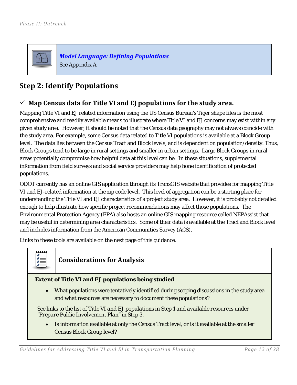

*Model Language: [Defining Populations](#page-28-2)* See Appendix A

## <span id="page-13-0"></span>**Step 2: Identify Populations**

### **Map Census data for Title VI and EJ populations for the study area.**

Mapping Title VI and EJ related information using the US Census Bureau's Tiger shape files is the most comprehensive and readily available means to illustrate where Title VI and EJ concerns may exist within any given study area. However, it should be noted that the Census data geography may not always coincide with the study area. For example, some Census data related to Title VI populations is available at a Block Group level. The data lies between the Census Tract and Block levels, and is dependent on population/density. Thus, Block Groups tend to be large in rural settings and smaller in urban settings. Large Block Groups in rural areas potentially compromise how helpful data at this level can be. In these situations, supplemental information from field surveys and social service providers may help hone identification of protected populations.

ODOT currently has an online GIS application through its TransGIS website that provides for mapping Title VI and EJ-related information at the zip code level. This level of aggregation can be a starting place for understanding the Title VI and EJ characteristics of a project study area. However, it is probably not detailed enough to help illustrate how specific project recommendations may affect those populations. The Environmental Protection Agency (EPA) also hosts an online GIS mapping resource called NEPAssist that may be useful in determining area characteristics. Some of their data is available at the Tract and Block level and includes information from the American Communities Survey (ACS).

Links to these tools are available on the next page of this guidance.



## **Considerations for Analysis**

#### **Extent of Title VI and EJ populations being studied**

• What populations were tentatively identified during scoping discussions in the study area and what resources are necessary to document these populations?

*See links to the list of Title VI and EJ populations in Step 1 and available resources under "Prepare Public Involvement Plan" in Step 3.*

• Is information available at only the Census Tract level, or is it available at the smaller Census Block Group level?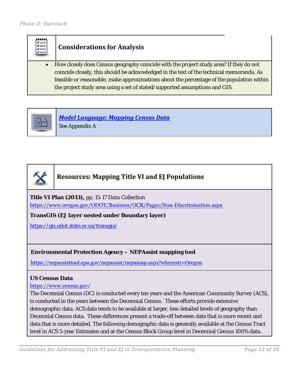## **Considerations for Analysis**

• How closely does Census geography coincide with the project study area? If they do not coincide closely, this should be acknowledged in the text of the technical memoranda. As feasible or reasonable, make approximations about the percentage of the population within the project study area using a set of stated/supported assumptions and GIS.



*Model Language: [Mapping Census Data](#page-29-0)*

See Appendix A



## **Resources: Mapping Title VI and EJ Populations**

**Title VI Plan (2013),** *pp. 15-17 Data Collection* 

https://www.oregon.gov/ODOT/Business/OCR/Pages/Non-Discrimination.aspx

**TransGIS (EJ layer nested under Boundary layer)**

https://gis.odot.state.or.us/transgis/

#### **Environmental Protection Agency – NEPAssist mapping tool**

https://nepassisttool.epa.gov/nepassist/nepamap.aspx?wherestr=Oregon

#### **US Census Data**

#### https://www.census.gov/

The Decennial Census (DC) is conducted every ten years and the American Community Survey (ACS), is conducted in the years between the Decennial Census. These efforts provide extensive demographic data. ACS data tends to be available at larger, less detailed levels of geography than Decennial Census data. These differences present a trade-off between data that is more recent and data that is more detailed. The following demographic data is generally available at the Census Tract level in ACS 5-year Estimates and at the Census Block Group level in Decennial Census 100% data.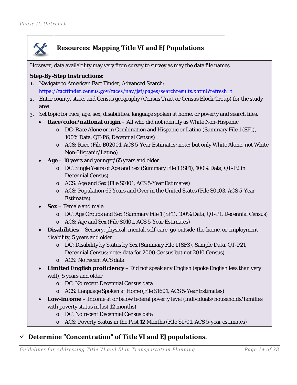

## **Resources: Mapping Title VI and EJ Populations**

However, data availability may vary from survey to survey as may the data file names.

#### *Step-By-Step Instructions:*

- 1. Navigate to American Fact Finder, Advanced Search: https://factfinder.census.gov/faces/nav/jsf/pages/searchresults.xhtml?refresh=t
- 2. Enter county, state, and Census geography (Census Tract or Census Block Group) for the study area.
- 3. Set topic for race, age, sex, disabilities, language spoken at home, or poverty and search files.
	- **Race/color/national origin** All who did not identify as White Non-Hispanic
		- o DC: Race Alone or in Combination and Hispanic or Latino (Summary File 1 (SF1), 100% Data, QT-P6, Decennial Census)
		- o ACS: Race (File B02001, ACS 5-Year Estimates; note: but only White Alone, not White Non-Hispanic/Latino)
	- **Age** 18 years and younger/65 years and older
		- o DC: Single Years of Age and Sex (Summary File 1 (SF1), 100% Data, QT-P2 in Decennial Census)
		- o ACS: Age and Sex (File S0101, ACS 5-Year Estimates)
		- o ACS: Population 65 Years and Over in the United States (File S0103, ACS 5-Year Estimates)
	- **Sex** Female and male
		- o DC: Age Groups and Sex (Summary File 1 (SF1), 100% Data, QT-P1, Decennial Census)
		- o ACS: Age and Sex (File S0101, ACS 5-Year Estimates)
	- **Disabilities** Sensory, physical, mental, self-care, go-outside-the-home, or employment disability, 5 years and older
		- o DC: Disability by Status by Sex (Summary File 1 (SF3), Sample Data, QT-P21, Decennial Census; note: data for 2000 Census but not 2010 Census)
		- o ACS: No recent ACS data
	- **Limited English proficiency** Did not speak any English (spoke English less than very well), 5 years and older
		- o DC: No recent Decennial Census data
		- o ACS: Language Spoken at Home (File S1601, ACS 5-Year Estimates)
	- **Low-income** Income at or below federal poverty level (individuals/households/families with poverty status in last 12 months)
		- o DC: No recent Decennial Census data
		- o ACS: Poverty Status in the Past 12 Months (File S1701, ACS 5-year estimates)

### **Determine "Concentration" of Title VI and EJ populations.**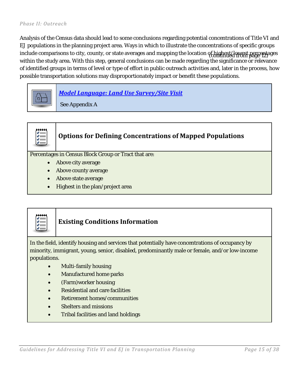#### *Phase II: Outreach*

Analysis of the Census data should lead to some conclusions regarding potential concentrations of Title VI and EJ populations in the planning project area. Ways in which to illustrate the concentrations of specific groups include comparisons to city, county, or state averages and mapping the location of highest/lowest percentages (continued from page 12) within the study area. With this step, general conclusions can be made regarding the significance or relevance of identified groups in terms of level or type of effort in public outreach activities and, later in the process, how possible transportation solutions may disproportionately impact or benefit these populations.





# **Options for Defining Concentrations of Mapped Populations**

Percentages in Census Block Group or Tract that are:

- Above city average
- Above county average
- Above state average
- Highest in the plan/project area



### **Existing Conditions Information**

In the field, identify housing and services that potentially have concentrations of occupancy by minority, immigrant, young, senior, disabled, predominantly male or female, and/or low-income populations.

- Multi-family housing
- Manufactured home parks
- (Farm)worker housing
- Residential and care facilities
- Retirement homes/communities
- Shelters and missions
- Tribal facilities and land holdings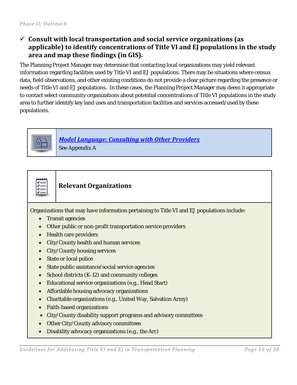### **Consult with local transportation and social service organizations (as applicable) to identify concentrations of Title VI and EJ populations in the study area and map these findings (in GIS).**

The Planning Project Manager may determine that contacting local organizations may yield relevant information regarding facilities used by Title VI and EJ populations. There may be situations where census data, field observations, and other existing conditions do not provide a clear picture regarding the presence or needs of Title VI and EJ populations. In these cases, the Planning Project Manager may deem it appropriate to contact select community organizations about potential concentrations of Title VI populations in the study area to further identify key land uses and transportation facilities and services accessed/used by these populations.



*Model Language: [Consulting with Other Providers](#page-29-2)* See Appendix A



### **Relevant Organizations**

Organizations that may have information pertaining to Title VI and EJ populations include:

- Transit agencies
- Other public or non-profit transportation service providers
- Health care providers
- City/County health and human services
- City/County housing services
- State or local police
- State public assistance/social service agencies
- School districts (K-12) and community colleges
- Educational service organizations (e.g., Head Start)
- Affordable housing advocacy organizations
- Charitable organizations (e.g., United Way, Salvation Army)
- Faith-based organizations
- City/County disability support programs and advisory committees
- Other City/County advisory committees
- Disability advocacy organizations (e.g., the Arc)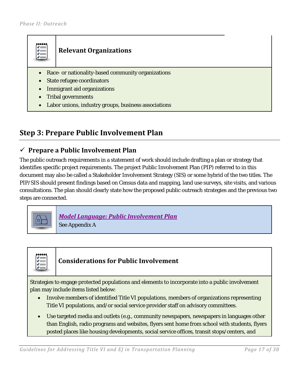## **Relevant Organizations**

- Race- or nationality-based community organizations
- State refugee coordinators
- Immigrant aid organizations
- Tribal governments
- Labor unions, industry groups, business associations

## <span id="page-18-0"></span>**Step 3: Prepare Public Involvement Plan**

#### **Prepare a Public Involvement Plan**

The public outreach requirements in a statement of work should include drafting a plan or strategy that identifies specific project requirements. The project Public Involvement Plan (PIP) referred to in this document may also be called a Stakeholder Involvement Strategy (SIS) or some hybrid of the two titles. The PIP/SIS should present findings based on Census data and mapping, land use surveys, site visits, and various consultations. The plan should clearly state how the proposed public outreach strategies and the previous two steps are connected.



*[Model Language: Public Involvement Plan](#page-30-0)* See Appendix A

## **Considerations for Public Involvement**

Strategies to engage protected populations and elements to incorporate into a public involvement plan may include items listed below:

- Involve members of identified Title VI populations, members of organizations representing Title VI populations, and/or social service provider staff on advisory committees.
- Use targeted media and outlets (e.g., community newspapers, newspapers in languages other than English, radio programs and websites, flyers sent home from school with students, flyers posted places like housing developments, social service offices, transit stops/centers, and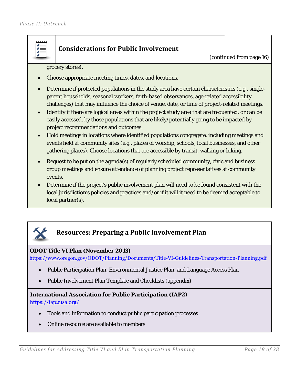

## **Considerations for Public Involvement**

(continued from page 16)

grocery stores).

- Choose appropriate meeting times, dates, and locations.
- Determine if protected populations in the study area have certain characteristics (e.g., singleparent households, seasonal workers, faith-based observances, age-related accessibility challenges) that may influence the choice of venue, date, or time of project-related meetings.
- Identify if there are logical areas within the project study area that are frequented, or can be easily accessed, by those populations that are likely/potentially going to be impacted by project recommendations and outcomes.
- Hold meetings in locations where identified populations congregate, including meetings and events held at community sites (e.g., places of worship, schools, local businesses, and other gathering places). Choose locations that are accessible by transit, walking or biking.
- Request to be put on the agenda(s) of regularly scheduled community, civic and business group meetings and ensure attendance of planning project representatives at community events.
- Determine if the project's public involvement plan will need to be found consistent with the local jurisdiction's policies and practices and/or if it will it need to be deemed acceptable to local partner(s).



## **Resources: Preparing a Public Involvement Plan**

#### **ODOT Title VI Plan (November 2013)**

https://www.oregon.gov/ODOT/Planning/Documents/Title-VI-Guidelines-Transportation-Planning.pdf

- Public Participation Plan, Environmental Justice Plan, and Language Access Plan
- Public Involvement Plan Template and Checklists (appendix)

## **International Association for Public Participation (IAP2)**

https://iap2usa.org/

- Tools and information to conduct public participation processes
- Online resource are available to members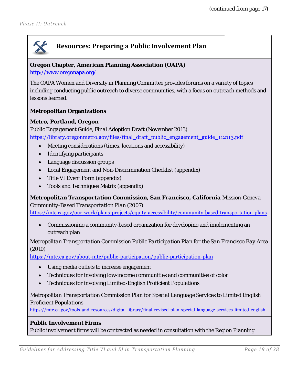## **Resources: Preparing a Public Involvement Plan**

#### **Oregon Chapter, American Planning Association (OAPA)**

http://www.oregonapa.org/

The OAPA Women and Diversity in Planning Committee provides forums on a variety of topics including conducting public outreach to diverse communities, with a focus on outreach methods and lessons learned.

#### **Metropolitan Organizations**

#### *Metro, Portland, Oregon*

*Public Engagement Guide, Final Adoption Draft (November 2013)* https://library.oregonmetro.gov/files/final\_draft\_public\_engagement\_guide\_112113.pdf

- Meeting considerations (times, locations and accessibility)
- Identifying participants
- Language discussion groups
- Local Engagement and Non-Discrimination Checklist (appendix)
- Title VI Event Form (appendix)
- Tools and Techniques Matrix (appendix)

### *Metropolitan Transportation Commission, San Francisco, California Mission-Geneva*

*Community-Based Transportation Plan (2007)*  https://mtc.ca.gov/our-work/plans-projects/equity-accessibility/community-based-transportation-plans

• Commissioning a community-based organization for developing and implementing an outreach plan

*Metropolitan Transportation Commission Public Participation Plan for the San Francisco Bay Area (2010)* 

https://mtc.ca.gov/about-mtc/public-participation/public-participation-plan

- Using media outlets to increase engagement
- Techniques for involving low-income communities and communities of color
- Techniques for involving Limited-English Proficient Populations

*Metropolitan Transportation Commission Plan for Special Language Services to Limited English Proficient Populations* 

https://mtc.ca.gov/tools-and-resources/digital-library/final-revised-plan-special-language-services-limited-english

#### **Public Involvement Firms**

Public involvement firms will be contracted as needed in consultation with the Region Planning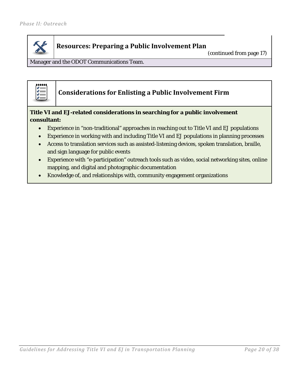

## **Resources: Preparing a Public Involvement Plan**

(continued from page 17)

Manager and the ODOT Communications Team.



## **Considerations for Enlisting a Public Involvement Firm**

#### **Title VI and EJ-related considerations in searching for a public involvement consultant:**

- Experience in "non-traditional" approaches in reaching out to Title VI and EJ populations
- Experience in working with and including Title VI and EJ populations in planning processes
- Access to translation services such as assisted-listening devices, spoken translation, braille, and sign language for public events
- Experience with "e-participation" outreach tools such as video, social networking sites, online mapping, and digital and photographic documentation
- Knowledge of, and relationships with, community engagement organizations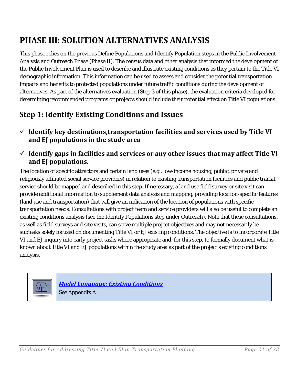## <span id="page-22-0"></span>**PHASE III: SOLUTION ALTERNATIVES ANALYSIS**

This phase relies on the previous Define Populations and Identify Population steps in the Public Involvement Analysis and Outreach Phase (Phase II). The census data and other analysis that informed the development of the Public Involvement Plan is used to describe and illustrate existing conditions as they pertain to the Title VI demographic information. This information can be used to assess and consider the potential transportation impacts and benefits to protected populations under future traffic conditions during the development of alternatives. As part of the alternatives evaluation (Step 3 of this phase), the evaluation criteria developed for determining recommended programs or projects should include their potential effect on Title VI populations.

## <span id="page-22-1"></span>**Step 1: Identify Existing Conditions and Issues**

- **Identify key destinations,transportation facilities and services used by Title VI and EJ populations in the study area**
- **Identify gaps in facilities and services or any other issues that may affect Title VI and EJ populations.**

The location of specific attractors and certain land uses (e.g., low-income housing, public, private and religiously affiliated social service providers) in relation to existing transportation facilities and public transit service should be mapped and described in this step. If necessary, a land use field survey or site visit can provide additional information to supplement data analysis and mapping, providing location-specific features (land use and transportation) that will give an indication of the location of populations with specific transportation needs. Consultations with project team and service providers will also be useful to complete an existing conditions analysis (see the Identify Populations step under Outreach). Note that these consultations, as well as field surveys and site visits, can serve multiple project objectives and may not necessarily be subtasks solely focused on documenting Title VI or EJ existing conditions. The objective is to incorporate Title VI and EJ inquiry into early project tasks where appropriate and, for this step, to formally document what is known about Title VI and EJ populations within the study area as part of the project's existing conditions analysis.



*Model Language: Existing Conditions* See Appendix A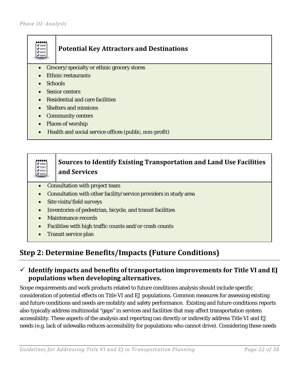## **Potential Key Attractors and Destinations**

- Grocery/specialty or ethnic grocery stores
- Ethnic restaurants
- Schools
- Senior centers
- Residential and care facilities
- Shelters and missions
- Community centers
- Places of worship
- Health and social service offices (public, non-profit)

### **Sources to Identify Existing Transportation and Land Use Facilities**  精神 **and Services**

- Consultation with project team
- Consultation with other facility/service providers in study area
- Site visits/field surveys
- Inventories of pedestrian, bicycle, and transit facilities
- Maintenance records
- Facilities with high traffic counts and/or crash counts
- Transit service plan

## <span id="page-23-0"></span>**Step 2: Determine Benefits/Impacts (Future Conditions)**

### **Identify impacts and benefits of transportation improvements for Title VI and EJ populations when developing alternatives.**

Scope requirements and work products related to future conditions analysis should include specific consideration of potential effects on Title VI and EJ populations. Common measures for assessing existing and future conditions and needs are mobility and safety performance. Existing and future conditions reports also typically address multimodal "gaps" in services and facilities that may affect transportation system accessibility. These aspects of the analysis and reporting can directly or indirectly address Title VI and EJ needs (e.g. lack of sidewalks reduces accessibility for populations who cannot drive). Considering these needs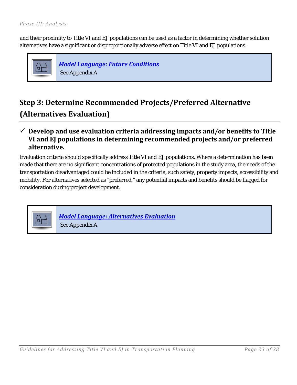and their proximity to Title VI and EJ populations can be used as a factor in determining whether solution alternatives have a significant or disproportionally adverse effect on Title VI and EJ populations.



*Model Language: Future Conditions* See Appendix A

## <span id="page-24-0"></span>**Step 3: Determine Recommended Projects/Preferred Alternative (Alternatives Evaluation)**

### **Develop and use evaluation criteria addressing impacts and/or benefits to Title VI and EJ populations in determining recommended projects and/or preferred alternative.**

Evaluation criteria should specifically address Title VI and EJ populations. Where a determination has been made that there are no significant concentrations of protected populations in the study area, the needs of the transportation disadvantaged could be included in the criteria, such safety, property impacts, accessibility and mobility. For alternatives selected as "preferred," any potential impacts and benefits should be flagged for consideration during project development.



*Model Language: Alternatives Evaluation* See Appendix A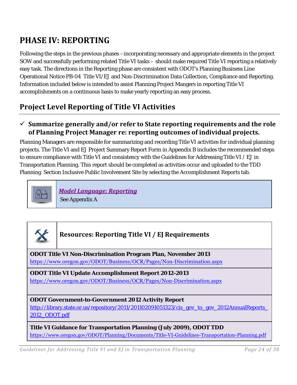## <span id="page-25-0"></span>**PHASE IV: REPORTING**

Following the steps in the previous phases –incorporating necessary and appropriate elements in the project SOW and successfully performing related Title VI tasks – should make required Title VI reporting a relatively easy task. The directions in the Reporting phase are consistent with ODOT's Planning Business Line Operational Notice PB-04 Title VI/EJ and Non-Discrimination Data Collection, Compliance and Reporting. Information included below is intended to assist Planning Project Mangers in reporting Title VI accomplishments on a continuous basis to make yearly reporting an easy process.

## **Project Level Reporting of Title VI Activities**

### **Summarize generally and/or refer to State reporting requirements and the role of Planning Project Manager re: reporting outcomes of individual projects.**

Planning Managers are responsible for summarizing and recording Title VI activities for individual planning projects. The Title VI and EJ Project Summary Report Form in Appendix B includes the recommended steps to ensure compliance with Title VI and consistency with the Guidelines for Addressing Title VI / EJ in Transportation Planning. This report should be completed as activities occur and uploaded to the TDD Planning Section Inclusive Public Involvement Site by selecting the Accomplishment Reports tab.



*Model Language: Reporting*

See Appendix A

## **Resources: Reporting Title VI / EJ Requirements**

**ODOT Title VI Non-Discrimination Program Plan, November 2013**  https://www.oregon.gov/ODOT/Business/OCR/Pages/Non-Discrimination.aspx

**ODOT Title VI Update Accomplishment Report 2012-2013**  https://www.oregon.gov/ODOT/Business/OCR/Pages/Non-Discrimination.aspx

**ODOT Government-to-Government 2012 Activity Report** http://library.state.or.us/repository/2011/201102091051323/cis\_gov\_to\_gov\_2012AnnualReports 2012\_ODOT.pdf

**Title VI Guidance for Transportation Planning (July 2009), ODOT TDD**  https://www.oregon.gov/ODOT/Planning/Documents/Title-VI-Guidelines-Transportation-Planning.pdf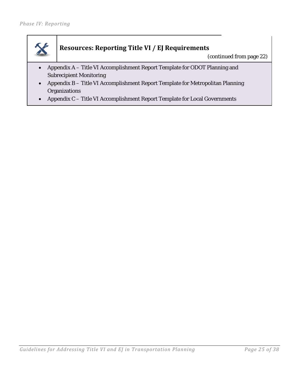

## **Resources: Reporting Title VI / EJ Requirements**

(continued from page 22)

- Appendix A Title VI Accomplishment Report Template for ODOT Planning and Subrecipient Monitoring
- Appendix B Title VI Accomplishment Report Template for Metropolitan Planning **Organizations**
- Appendix C Title VI Accomplishment Report Template for Local Governments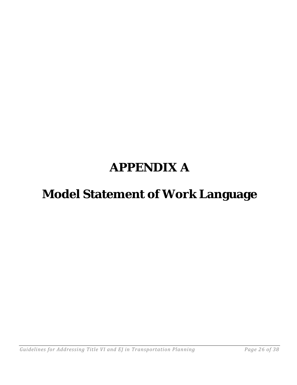# **APPENDIX A**

# **Model Statement of Work Language**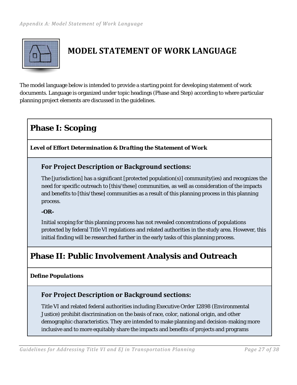<span id="page-28-0"></span>

## **MODEL STATEMENT OF WORK LANGUAGE**

The model language below is intended to provide a starting point for developing statement of work documents. Language is organized under topic headings (Phase and Step) according to where particular planning project elements are discussed in the guidelines.

## **Phase I: Scoping**

<span id="page-28-1"></span>*Level of Effort Determination & Drafting the Statement of Work*

### **For Project Description or Background sections:**

The [jurisdiction] has a significant [protected population(s)] community(ies) and recognizes the need for specific outreach to [this/these] communities, as well as consideration of the impacts and benefits to [this/these] communities as a result of this planning process in this planning process.

#### **-OR-**

Initial scoping for this planning process has not revealed concentrations of populations protected by federal Title VI regulations and related authorities in the study area. However, this initial finding will be researched further in the early tasks of this planning process.

## **Phase II: Public Involvement Analysis and Outreach**

#### <span id="page-28-2"></span>*Define Populations*

## **For Project Description or Background sections:**

Title VI and related federal authorities including Executive Order 12898 (Environmental Justice) prohibit discrimination on the basis of race, color, national origin, and other demographic characteristics. They are intended to make planning and decision-making more inclusive and to more equitably share the impacts and benefits of projects and programs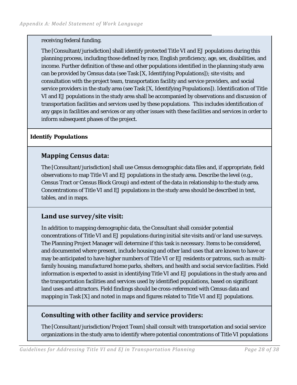#### receiving federal funding.

The [Consultant/jurisdiction] shall identify protected Title VI and EJ populations during this planning process, including those defined by race, English proficiency, age, sex, disabilities, and income. Further definition of these and other populations identified in the planning study area can be provided by Census data (see Task [X, Identifying Populations]); site visits; and consultation with the project team, transportation facility and service providers, and social service providers in the study area (see Task [X, Identifying Populations]). Identification of Title VI and EJ populations in the study area shall be accompanied by observations and discussion of transportation facilities and services used by these populations. This includes identification of any gaps in facilities and services or any other issues with these facilities and services in order to inform subsequent phases of the project.

### <span id="page-29-0"></span>*Identify Populations*

### **Mapping Census data:**

The [Consultant/jurisdiction] shall use Census demographic data files and, if appropriate, field observations to map Title VI and EJ populations in the study area. Describe the level (e.g., Census Tract or Census Block Group) and extent of the data in relationship to the study area. Concentrations of Title VI and EJ populations in the study area should be described in text, tables, and in maps.

### <span id="page-29-1"></span>**Land use survey/site visit:**

In addition to mapping demographic data, the Consultant shall consider potential concentrations of Title VI and EJ populations during initial site visits and/or land use surveys. The Planning Project Manager will determine if this task is necessary. Items to be considered, and documented where present, include housing and other land uses that are known to have or may be anticipated to have higher numbers of Title VI or EJ residents or patrons, such as multifamily housing, manufactured home parks, shelters, and health and social service facilities. Field information is expected to assist in identifying Title VI and EJ populations in the study area and the transportation facilities and services used by identified populations, based on significant land uses and attractors. Field findings should be cross-referenced with Census data and mapping in Task [X] and noted in maps and figures related to Title VI and EJ populations.

## <span id="page-29-2"></span>**Consulting with other facility and service providers:**

The [Consultant/jurisdiction/Project Team] shall consult with transportation and social service organizations in the study area to identify where potential concentrations of Title VI populations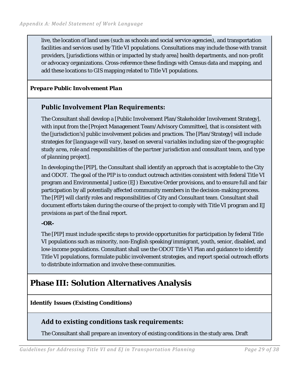live, the location of land uses (such as schools and social service agencies), and transportation facilities and services used by Title VI populations. Consultations may include those with transit providers, [jurisdictions within or impacted by study area] health departments, and non-profit or advocacy organizations. Cross-reference these findings with Census data and mapping, and add these locations to GIS mapping related to Title VI populations.

#### <span id="page-30-0"></span>*Prepare Public Involvement Plan*

### **Public Involvement Plan Requirements:**

The Consultant shall develop a [Public Involvement Plan/Stakeholder Involvement Strategy], with input from the [Project Management Team/Advisory Committee], that is consistent with the [jurisdiction's] public involvement policies and practices. The [Plan/Strategy] will include strategies for [*language will vary, based on several variables including size of the geographic study area, role and responsibilities of the partner jurisdiction and consultant team, and type of planning project*].

In developing the [PIP], the Consultant shall identify an approach that is acceptable to the City and ODOT. The goal of the PIP is to conduct outreach activities consistent with federal Title VI program and Environmental Justice (EJ) Executive Order provisions, and to ensure full and fair participation by all potentially affected community members in the decision-making process. The [PIP] will clarify roles and responsibilities of City and Consultant team. Consultant shall document efforts taken during the course of the project to comply with Title VI program and EJ provisions as part of the final report.

#### **-OR-**

The [PIP] must include specific steps to provide opportunities for participation by federal Title VI populations such as minority, non-English speaking/immigrant, youth, senior, disabled, and low-income populations. Consultant shall use the ODOT Title VI Plan and guidance to identify Title VI populations, formulate public involvement strategies, and report special outreach efforts to distribute information and involve these communities.

## **Phase III: Solution Alternatives Analysis**

*Identify Issues (Existing Conditions)*

**Add to existing conditions task requirements:** 

The Consultant shall prepare an inventory of existing conditions in the study area. Draft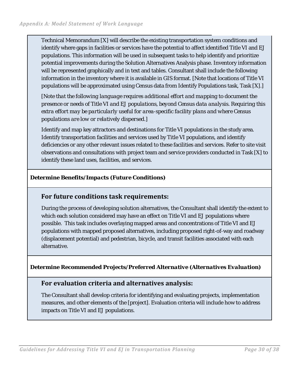Technical Memorandum [X] will describe the existing transportation system conditions and identify where gaps in facilities or services have the potential to affect identified Title VI and EJ populations. This information will be used in subsequent tasks to help identify and prioritize potential improvements during the Solution Alternatives Analysis phase. Inventory information will be represented graphically and in text and tables. Consultant shall include the following information in the inventory where it is available in GIS format. [Note that locations of Title VI populations will be approximated using Census data from Identify Populations task, Task [X].]

*[Note that the following language requires additional effort and mapping to document the presence or needs of Title VI and EJ populations, beyond Census data analysis. Requiring this extra effort may be particularly useful for area-specific facility plans and where Census populations are low or relatively dispersed.]*

Identify and map key attractors and destinations for Title VI populations in the study area. Identify transportation facilities and services used by Title VI populations, and identify deficiencies or any other relevant issues related to these facilities and services. Refer to site visit observations and consultations with project team and service providers conducted in Task [X] to identify these land uses, facilities, and services.

#### *Determine Benefits/Impacts (Future Conditions)*

### **For future conditions task requirements:**

During the process of developing solution alternatives, the Consultant shall identify the extent to which each solution considered may have an effect on Title VI and EJ populations where possible. This task includes overlaying mapped areas and concentrations of Title VI and EJ populations with mapped proposed alternatives, including proposed right-of-way and roadway (displacement potential) and pedestrian, bicycle, and transit facilities associated with each alternative.

*Determine Recommended Projects/Preferred Alternative (Alternatives Evaluation)*

### **For evaluation criteria and alternatives analysis:**

The Consultant shall develop criteria for identifying and evaluating projects, implementation measures, and other elements of the [project]. Evaluation criteria will include how to address impacts on Title VI and EJ populations.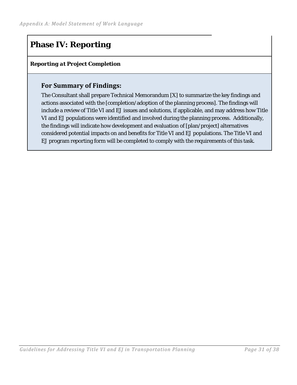## **Phase IV: Reporting**

### *Reporting at Project Completion*

### **For Summary of Findings:**

The Consultant shall prepare Technical Memorandum [X] to summarize the key findings and actions associated with the [completion/adoption of the planning process]. The findings will include a review of Title VI and EJ issues and solutions, if applicable, and may address how Title VI and EJ populations were identified and involved during the planning process. Additionally, the findings will indicate how development and evaluation of [plan/project] alternatives considered potential impacts on and benefits for Title VI and EJ populations. The Title VI and EJ program reporting form will be completed to comply with the requirements of this task.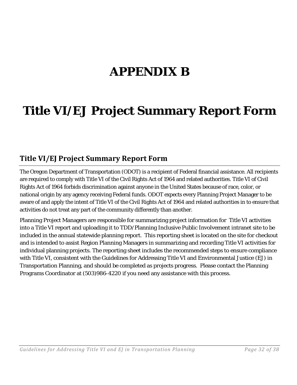# **APPENDIX B**

# **Title VI/EJ Project Summary Report Form**

## <span id="page-33-0"></span>**Title VI/EJ Project Summary Report Form**

The Oregon Department of Transportation (ODOT) is a recipient of Federal financial assistance. All recipients are required to comply with Title VI of the Civil Rights Act of 1964 and related authorities. Title VI of Civil Rights Act of 1964 forbids discrimination against anyone in the United States because of race, color, or national origin by any agency receiving Federal funds. ODOT expects every Planning Project Manager to be aware of and apply the intent of Title VI of the Civil Rights Act of 1964 and related authorities in to ensure that activities do not treat any part of the community differently than another.

Planning Project Managers are responsible for summarizing project information for Title VI activities into a Title VI report and uploading it to TDD/Planning Inclusive Public Involvement intranet site to be included in the annual statewide planning report. This reporting sheet is located on the site for checkout and is intended to assist Region Planning Managers in summarizing and recording Title VI activities for individual planning projects. The reporting sheet includes the recommended steps to ensure compliance with Title VI, consistent with the Guidelines for Addressing Title VI and Environmental Justice (EJ) in Transportation Planning, and should be completed as projects progress. Please contact the Planning Programs Coordinator at (503)986-4220 if you need any assistance with this process.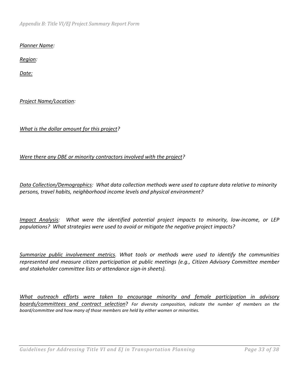*Appendix B: Title VI/EJ Project Summary Report Form* 

#### *Planner Name:*

*Region:*

*Date:* 

*Project Name/Location:*

#### *What is the dollar amount for this project?*

#### *Were there any DBE or minority contractors involved with the project?*

*Data Collection/Demographics: What data collection methods were used to capture data relative to minority persons, travel habits, neighborhood income levels and physical environment?*

*Impact Analysis: What were the identified potential project impacts to minority, low-income, or LEP populations? What strategies were used to avoid or mitigate the negative project impacts?*

*Summarize public involvement metrics. What tools or methods were used to identify the communities represented and measure citizen participation at public meetings (e.g., Citizen Advisory Committee member and stakeholder committee lists or attendance sign-in sheets).*

*What outreach efforts were taken to encourage minority and female participation in advisory boards/committees and contract selection*? *For diversity composition, indicate the number of members on the board/committee and how many of those members are held by either women or minorities.*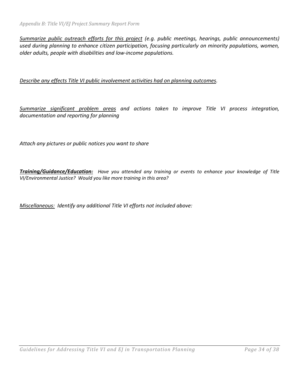*Summarize public outreach efforts for this project (e.g. public meetings, hearings, public announcements) used during planning to enhance citizen participation, focusing particularly on minority populations, women, older adults, people with disabilities and low-income populations.*

*Describe any effects Title VI public involvement activities had on planning outcomes.* 

*Summarize significant problem areas and actions taken to improve Title VI process integration, documentation and reporting for planning*

*Attach any pictures or public notices you want to share* 

*Training/Guidance/Education: Have you attended any training or events to enhance your knowledge of Title VI/Environmental Justice? Would you like more training in this area?*

*Miscellaneous: Identify any additional Title VI efforts not included above:*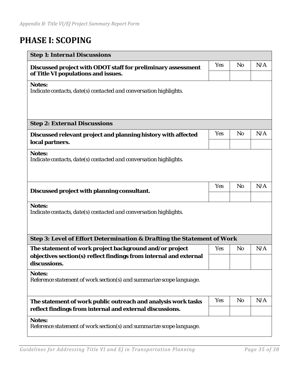## <span id="page-36-0"></span>**PHASE I: SCOPING**

| <b>Step 1: Internal Discussions</b>                                                                                                          |            |                |     |
|----------------------------------------------------------------------------------------------------------------------------------------------|------------|----------------|-----|
| Discussed project with ODOT staff for preliminary assessment<br>of Title VI populations and issues.                                          | <b>Yes</b> | N <sub>o</sub> | N/A |
| <b>Notes:</b><br>Indicate contacts, date(s) contacted and conversation highlights.                                                           |            |                |     |
| <b>Step 2: External Discussions</b>                                                                                                          |            |                |     |
| Discussed relevant project and planning history with affected<br>local partners.                                                             | <b>Yes</b> | N <sub>o</sub> | N/A |
| <b>Notes:</b><br>Indicate contacts, date(s) contacted and conversation highlights.                                                           |            |                |     |
| Discussed project with planning consultant.                                                                                                  | <b>Yes</b> | <b>No</b>      | N/A |
| <b>Notes:</b><br>Indicate contacts, date(s) contacted and conversation highlights.                                                           |            |                |     |
| <b>Step 3: Level of Effort Determination &amp; Drafting the Statement of Work</b>                                                            |            |                |     |
| The statement of work project background and/or project<br>objectives section(s) reflect findings from internal and external<br>discussions. | <b>Yes</b> | N <sub>o</sub> | N/A |
| <b>Notes:</b><br>Reference statement of work section(s) and summarize scope language.                                                        |            |                |     |
| The statement of work public outreach and analysis work tasks<br>reflect findings from internal and external discussions.                    | <b>Yes</b> | No             | N/A |
| <b>Notes:</b><br>Reference statement of work section(s) and summarize scope language.                                                        |            |                |     |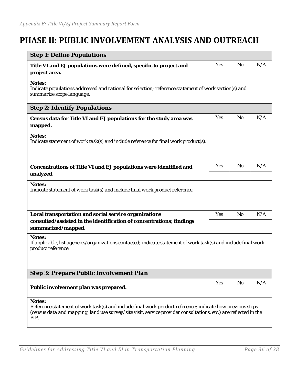## <span id="page-37-0"></span>**PHASE II: PUBLIC INVOLVEMENT ANALYSIS AND OUTREACH**

| <b>Step 1: Define Populations</b>                                                                                                                                                                                                                      |     |           |     |
|--------------------------------------------------------------------------------------------------------------------------------------------------------------------------------------------------------------------------------------------------------|-----|-----------|-----|
| Title VI and EJ populations were defined, specific to project and<br>project area.                                                                                                                                                                     | Yes | <b>No</b> | N/A |
| <b>Notes:</b><br>Indicate populations addressed and rational for selection; reference statement of work section(s) and<br>summarize scope language.                                                                                                    |     |           |     |
| <b>Step 2: Identify Populations</b>                                                                                                                                                                                                                    |     |           |     |
| Census data for Title VI and EJ populations for the study area was<br>mapped.                                                                                                                                                                          | Yes | <b>No</b> | N/A |
| <b>Notes:</b><br>Indicate statement of work task(s) and include reference for final work product(s).                                                                                                                                                   |     |           |     |
| Concentrations of Title VI and EJ populations were identified and<br>analyzed.                                                                                                                                                                         | Yes | <b>No</b> | N/A |
| <b>Notes:</b><br>Indicate statement of work task(s) and include final work product reference.                                                                                                                                                          |     |           |     |
| Local transportation and social service organizations                                                                                                                                                                                                  | Yes | <b>No</b> | N/A |
| consulted/assisted in the identification of concentrations; findings<br>summarized/mapped.                                                                                                                                                             |     |           |     |
| <b>Notes:</b><br>If applicable, list agencies/organizations contacted; indicate statement of work task(s) and include final work<br>product reference.                                                                                                 |     |           |     |
| <b>Step 3: Prepare Public Involvement Plan</b>                                                                                                                                                                                                         |     |           |     |
| Public involvement plan was prepared.                                                                                                                                                                                                                  | Yes | No        | N/A |
| <b>Notes:</b><br>Reference statement of work task(s) and include final work product reference; indicate how previous steps<br>(census data and mapping, land use survey/site visit, service provider consultations, etc.) are reflected in the<br>PIP. |     |           |     |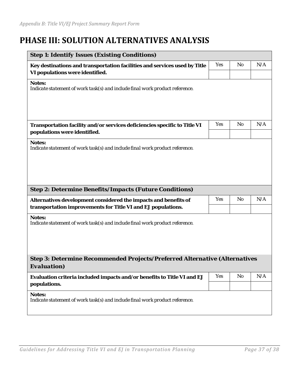## <span id="page-38-0"></span>**PHASE III: SOLUTION ALTERNATIVES ANALYSIS**

| <b>Step 1: Identify Issues (Existing Conditions)</b>                                                                            |            |                |     |
|---------------------------------------------------------------------------------------------------------------------------------|------------|----------------|-----|
| Key destinations and transportation facilities and services used by Title<br>VI populations were identified.                    | <b>Yes</b> | No             | N/A |
| <b>Notes:</b><br>Indicate statement of work task(s) and include final work product reference.                                   |            |                |     |
| Transportation facility and/or services deficiencies specific to Title VI<br>populations were identified.                       | <b>Yes</b> | N <sub>0</sub> | N/A |
| <b>Notes:</b><br>Indicate statement of work task(s) and include final work product reference.                                   |            |                |     |
| <b>Step 2: Determine Benefits/Impacts (Future Conditions)</b>                                                                   |            |                |     |
| Alternatives development considered the impacts and benefits of<br>transportation improvements for Title VI and EJ populations. | Yes        | No             | N/A |
| <b>Notes:</b><br>Indicate statement of work task(s) and include final work product reference.                                   |            |                |     |
| <b>Step 3: Determine Recommended Projects/Preferred Alternative (Alternatives</b><br>Evaluation)                                |            |                |     |
| Evaluation criteria included impacts and/or benefits to Title VI and EJ<br>populations.                                         | <b>Yes</b> | No             | N/A |
| <b>Notes:</b><br>Indicate statement of work task(s) and include final work product reference.                                   |            |                |     |